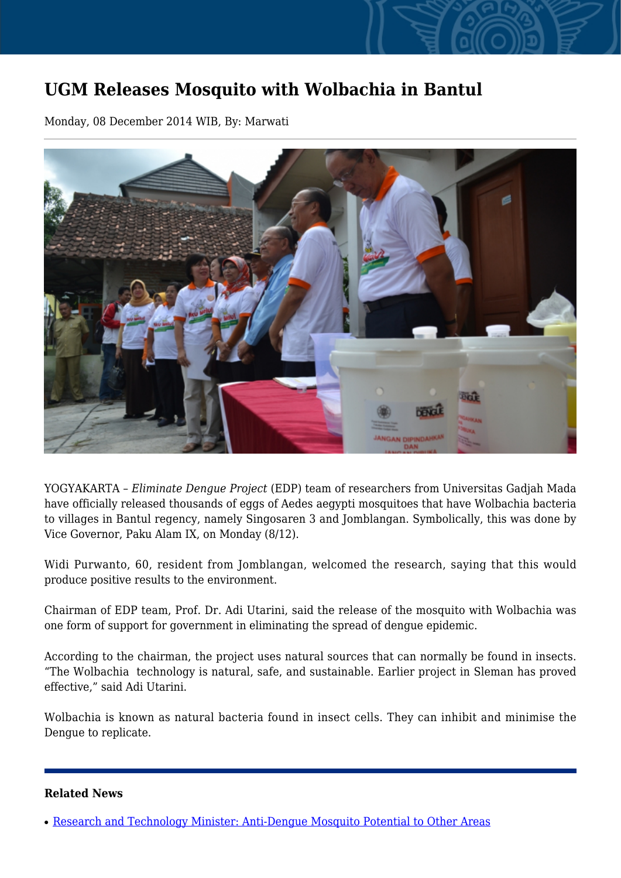## **UGM Releases Mosquito with Wolbachia in Bantul**

Monday, 08 December 2014 WIB, By: Marwati



YOGYAKARTA – *Eliminate Dengue Project* (EDP) team of researchers from Universitas Gadjah Mada have officially released thousands of eggs of Aedes aegypti mosquitoes that have Wolbachia bacteria to villages in Bantul regency, namely Singosaren 3 and Jomblangan. Symbolically, this was done by Vice Governor, Paku Alam IX, on Monday (8/12).

Widi Purwanto, 60, resident from Jomblangan, welcomed the research, saying that this would produce positive results to the environment.

Chairman of EDP team, Prof. Dr. Adi Utarini, said the release of the mosquito with Wolbachia was one form of support for government in eliminating the spread of dengue epidemic.

According to the chairman, the project uses natural sources that can normally be found in insects. "The Wolbachia technology is natural, safe, and sustainable. Earlier project in Sleman has proved effective," said Adi Utarini.

Wolbachia is known as natural bacteria found in insect cells. They can inhibit and minimise the Dengue to replicate.

## **Related News**

<sup>•</sup> [Research and Technology Minister: Anti-Dengue Mosquito Potential to Other Areas](http://ugm.ac.id/www.ugm.ac.id//en/news/11115-minimising-dengue-fever-wolbachia-mosquito-to-be-released-in-yogyakarta)